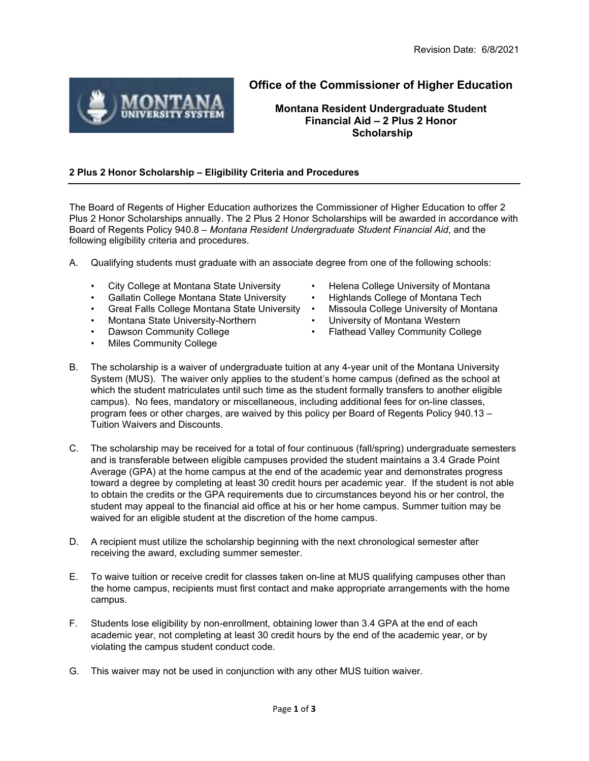

## **Office of the Commissioner of Higher Education**

**Montana Resident Undergraduate Student Financial Aid – 2 Plus 2 Honor Scholarship**

## **2 Plus 2 Honor Scholarship – Eligibility Criteria and Procedures**

The Board of Regents of Higher Education authorizes the Commissioner of Higher Education to offer 2 Plus 2 Honor Scholarships annually. The 2 Plus 2 Honor Scholarships will be awarded in accordance with Board of Regents Policy 940.8 – *Montana Resident Undergraduate Student Financial Aid*, and the following eligibility criteria and procedures.

- A. Qualifying students must graduate with an associate degree from one of the following schools:
	-
	-
	- Great Falls College Montana State University •
	-
	-
	- Miles Community College
- City College at Montana State University Helena College University of Montana
- Gallatin College Montana State University Highlands College of Montana Tech<br>Great Falls College Montana State University Missoula College University of Montana
	-
- Montana State University-Northern University of Montana Western
- Dawson Community College Flathead Valley Community College
- B. The scholarship is a waiver of undergraduate tuition at any 4-year unit of the Montana University System (MUS). The waiver only applies to the student's home campus (defined as the school at which the student matriculates until such time as the student formally transfers to another eligible campus). No fees, mandatory or miscellaneous, including additional fees for on-line classes, program fees or other charges, are waived by this policy per Board of Regents Policy 940.13 – Tuition Waivers and Discounts.
- C. The scholarship may be received for a total of four continuous (fall/spring) undergraduate semesters and is transferable between eligible campuses provided the student maintains a 3.4 Grade Point Average (GPA) at the home campus at the end of the academic year and demonstrates progress toward a degree by completing at least 30 credit hours per academic year. If the student is not able to obtain the credits or the GPA requirements due to circumstances beyond his or her control, the student may appeal to the financial aid office at his or her home campus. Summer tuition may be waived for an eligible student at the discretion of the home campus.
- D. A recipient must utilize the scholarship beginning with the next chronological semester after receiving the award, excluding summer semester.
- E. To waive tuition or receive credit for classes taken on-line at MUS qualifying campuses other than the home campus, recipients must first contact and make appropriate arrangements with the home campus.
- F. Students lose eligibility by non-enrollment, obtaining lower than 3.4 GPA at the end of each academic year, not completing at least 30 credit hours by the end of the academic year, or by violating the campus student conduct code.
- G. This waiver may not be used in conjunction with any other MUS tuition waiver.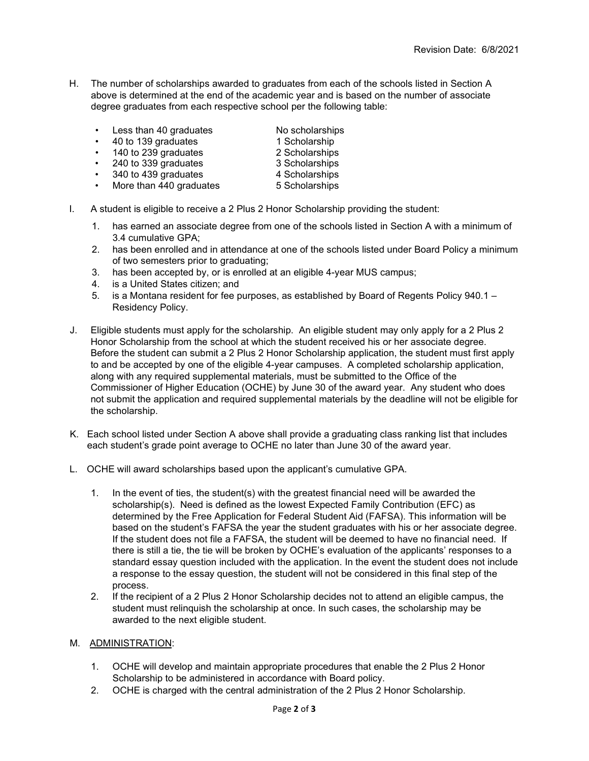- H. The number of scholarships awarded to graduates from each of the schools listed in Section A above is determined at the end of the academic year and is based on the number of associate degree graduates from each respective school per the following table:
	- Less than 40 graduates No scholarships
	-
	- 40 to 139 graduates 1 Scholarship
	- 240 to 339 graduates 3 Scholarships
	- 340 to 439 graduates 4 Scholarships
	- More than 440 graduates 5 Scholarships
	- 140 to 239 graduates 2 Scholarships<br>• 240 to 339 graduates 3 Scholarships<br>• 340 to 439 graduates 4 Scholarships
		-
		-
- I. A student is eligible to receive a 2 Plus 2 Honor Scholarship providing the student:
	- 1. has earned an associate degree from one of the schools listed in Section A with a minimum of 3.4 cumulative GPA;
	- 2. has been enrolled and in attendance at one of the schools listed under Board Policy a minimum of two semesters prior to graduating;
	- 3. has been accepted by, or is enrolled at an eligible 4-year MUS campus;
	- 4. is a United States citizen; and
	- 5. is a Montana resident for fee purposes, as established by Board of Regents Policy 940.1 Residency Policy.
- J. Eligible students must apply for the scholarship. An eligible student may only apply for a 2 Plus 2 Honor Scholarship from the school at which the student received his or her associate degree. Before the student can submit a 2 Plus 2 Honor Scholarship application, the student must first apply to and be accepted by one of the eligible 4-year campuses. A completed scholarship application, along with any required supplemental materials, must be submitted to the Office of the Commissioner of Higher Education (OCHE) by June 30 of the award year. Any student who does not submit the application and required supplemental materials by the deadline will not be eligible for the scholarship.
- K. Each school listed under Section A above shall provide a graduating class ranking list that includes each student's grade point average to OCHE no later than June 30 of the award year.
- L. OCHE will award scholarships based upon the applicant's cumulative GPA.
	- 1. In the event of ties, the student(s) with the greatest financial need will be awarded the scholarship(s). Need is defined as the lowest Expected Family Contribution (EFC) as determined by the Free Application for Federal Student Aid (FAFSA). This information will be based on the student's FAFSA the year the student graduates with his or her associate degree. If the student does not file a FAFSA, the student will be deemed to have no financial need. If there is still a tie, the tie will be broken by OCHE's evaluation of the applicants' responses to a standard essay question included with the application. In the event the student does not include a response to the essay question, the student will not be considered in this final step of the process.
	- 2. If the recipient of a 2 Plus 2 Honor Scholarship decides not to attend an eligible campus, the student must relinquish the scholarship at once. In such cases, the scholarship may be awarded to the next eligible student.

## M. ADMINISTRATION:

- 1. OCHE will develop and maintain appropriate procedures that enable the 2 Plus 2 Honor Scholarship to be administered in accordance with Board policy.
- 2. OCHE is charged with the central administration of the 2 Plus 2 Honor Scholarship.